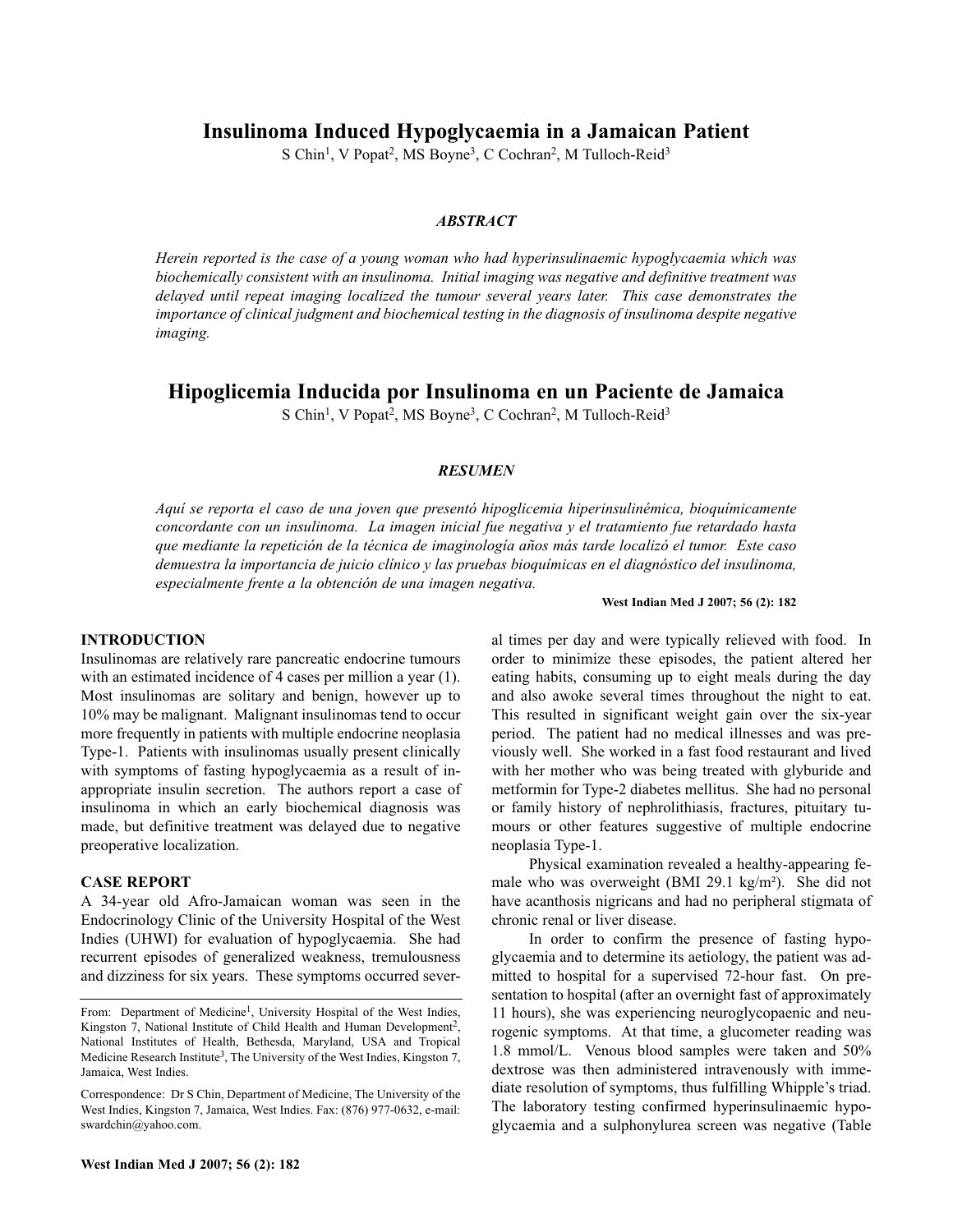**Insulinoma Induced Hypoglycaemia in a Jamaican Patient**

S Chin<sup>1</sup>, V Popat<sup>2</sup>, MS Boyne<sup>3</sup>, C Cochran<sup>2</sup>, M Tulloch-Reid<sup>3</sup>

# *ABSTRACT*

*Herein reported is the case of a young woman who had hyperinsulinaemic hypoglycaemia which was biochemically consistent with an insulinoma. Initial imaging was negative and definitive treatment was delayed until repeat imaging localized the tumour several years later. This case demonstrates the importance of clinical judgment and biochemical testing in the diagnosis of insulinoma despite negative imaging.*

# **Hipoglicemia Inducida por Insulinoma en un Paciente de Jamaica**

S Chin<sup>1</sup>, V Popat<sup>2</sup>, MS Boyne<sup>3</sup>, C Cochran<sup>2</sup>, M Tulloch-Reid<sup>3</sup>

# *RESUMEN*

*Aquí se reporta el caso de una joven que presentó hipoglicemia hiperinsulinémica, bioquímicamente concordante con un insulinoma. La imagen inicial fue negativa y el tratamiento fue retardado hasta que mediante la repetición de la técnica de imaginología años más tarde localizó el tumor. Este caso demuestra la importancia de juicio clínico y las pruebas bioquímicas en el diagnóstico del insulinoma, especialmente frente a la obtención de una imagen negativa.* 

#### **West Indian Med J 2007; 56 (2): 182**

al times per day and were typically relieved with food. In

# **INTRODUCTION**

Insulinomas are relatively rare pancreatic endocrine tumours with an estimated incidence of 4 cases per million a year (1). Most insulinomas are solitary and benign, however up to 10% may be malignant. Malignant insulinomas tend to occur more frequently in patients with multiple endocrine neoplasia Type-1. Patients with insulinomas usually present clinically with symptoms of fasting hypoglycaemia as a result of inappropriate insulin secretion. The authors report a case of insulinoma in which an early biochemical diagnosis was made, but definitive treatment was delayed due to negative preoperative localization.

### **CASE REPORT**

A 34-year old Afro-Jamaican woman was seen in the Endocrinology Clinic of the University Hospital of the West Indies (UHWI) for evaluation of hypoglycaemia. She had recurrent episodes of generalized weakness, tremulousness and dizziness for six years. These symptoms occurred severorder to minimize these episodes, the patient altered her eating habits, consuming up to eight meals during the day and also awoke several times throughout the night to eat. This resulted in significant weight gain over the six-year period. The patient had no medical illnesses and was previously well. She worked in a fast food restaurant and lived with her mother who was being treated with glyburide and metformin for Type-2 diabetes mellitus. She had no personal or family history of nephrolithiasis, fractures, pituitary tumours or other features suggestive of multiple endocrine neoplasia Type-1.

Physical examination revealed a healthy-appearing female who was overweight (BMI 29.1 kg/m²). She did not have acanthosis nigricans and had no peripheral stigmata of chronic renal or liver disease.

In order to confirm the presence of fasting hypoglycaemia and to determine its aetiology, the patient was admitted to hospital for a supervised 72-hour fast. On presentation to hospital (after an overnight fast of approximately 11 hours), she was experiencing neuroglycopaenic and neurogenic symptoms. At that time, a glucometer reading was 1.8 mmol/L. Venous blood samples were taken and 50% dextrose was then administered intravenously with immediate resolution of symptoms, thus fulfilling Whipple's triad. The laboratory testing confirmed hyperinsulinaemic hypoglycaemia and a sulphonylurea screen was negative (Table

From: Department of Medicine<sup>1</sup>, University Hospital of the West Indies, Kingston 7, National Institute of Child Health and Human Development<sup>2</sup>, National Institutes of Health, Bethesda, Maryland, USA and Tropical Medicine Research Institute<sup>3</sup>, The University of the West Indies, Kingston 7, Jamaica, West Indies.

Correspondence: Dr S Chin, Department of Medicine, The University of the West Indies, Kingston 7, Jamaica, West Indies. Fax: (876) 977-0632, e-mail: swardchin@yahoo.com.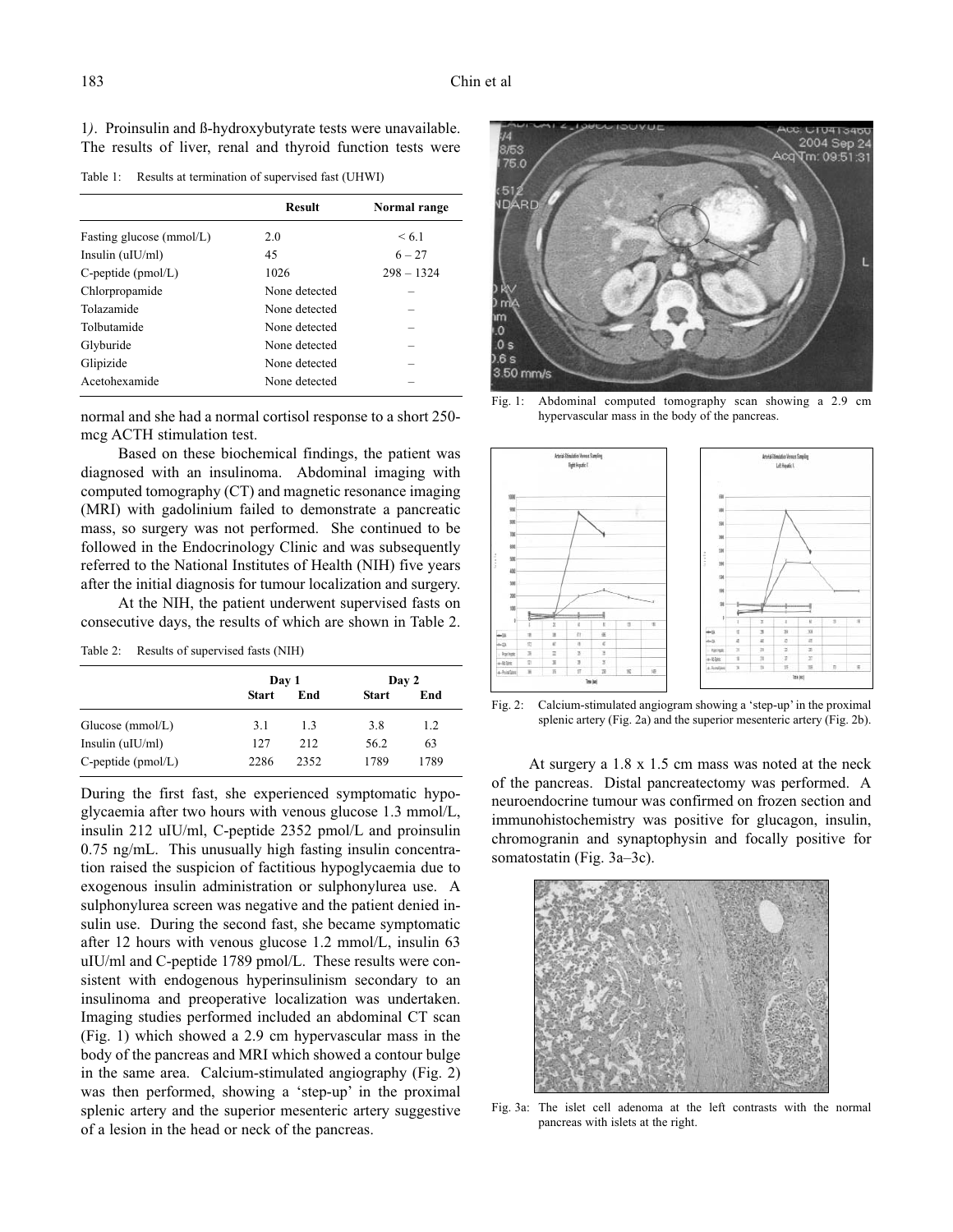1*)*. Proinsulin and ß-hydroxybutyrate tests were unavailable. The results of liver, renal and thyroid function tests were

Table 1: Results at termination of supervised fast (UHWI)

| <b>Result</b> | Normal range |
|---------------|--------------|
| 20            | < 6.1        |
| 45            | $6 - 27$     |
| 1026          | $298 - 1324$ |
| None detected |              |
| None detected |              |
| None detected |              |
| None detected |              |
| None detected |              |
| None detected |              |
|               |              |

normal and she had a normal cortisol response to a short 250 mcg ACTH stimulation test.

Based on these biochemical findings, the patient was diagnosed with an insulinoma. Abdominal imaging with computed tomography (CT) and magnetic resonance imaging (MRI) with gadolinium failed to demonstrate a pancreatic mass, so surgery was not performed. She continued to be followed in the Endocrinology Clinic and was subsequently referred to the National Institutes of Health (NIH) five years after the initial diagnosis for tumour localization and surgery.

At the NIH, the patient underwent supervised fasts on consecutive days, the results of which are shown in Table 2.

| Table 2: |  |  | Results of supervised fasts (NIH) |  |  |  |
|----------|--|--|-----------------------------------|--|--|--|
|----------|--|--|-----------------------------------|--|--|--|

|                       | Day 1        |      | Day 2        |      |
|-----------------------|--------------|------|--------------|------|
|                       | <b>Start</b> | End  | <b>Start</b> | End  |
| Glucose (mmol/L)      | 3.1          | 13   | 3.8          | 1.2  |
| Insulin $(uIU/ml)$    | 127          | 212  | 56.2         | 63   |
| $C$ -peptide (pmol/L) | 2286         | 2352 | 1789         | 1789 |

During the first fast, she experienced symptomatic hypoglycaemia after two hours with venous glucose 1.3 mmol/L, insulin 212 uIU/ml, C-peptide 2352 pmol/L and proinsulin 0.75 ng/mL. This unusually high fasting insulin concentration raised the suspicion of factitious hypoglycaemia due to exogenous insulin administration or sulphonylurea use. A sulphonylurea screen was negative and the patient denied insulin use. During the second fast, she became symptomatic after 12 hours with venous glucose 1.2 mmol/L, insulin 63 uIU/ml and C-peptide 1789 pmol/L. These results were consistent with endogenous hyperinsulinism secondary to an insulinoma and preoperative localization was undertaken. Imaging studies performed included an abdominal CT scan (Fig. 1) which showed a 2.9 cm hypervascular mass in the body of the pancreas and MRI which showed a contour bulge in the same area. Calcium-stimulated angiography (Fig. 2) was then performed, showing a 'step-up' in the proximal splenic artery and the superior mesenteric artery suggestive of a lesion in the head or neck of the pancreas.



Fig. 1: Abdominal computed tomography scan showing a 2.9 cm hypervascular mass in the body of the pancreas.



Fig. 2: Calcium-stimulated angiogram showing a 'step-up' in the proximal splenic artery (Fig. 2a) and the superior mesenteric artery (Fig. 2b).

At surgery a 1.8 x 1.5 cm mass was noted at the neck of the pancreas. Distal pancreatectomy was performed. A neuroendocrine tumour was confirmed on frozen section and immunohistochemistry was positive for glucagon, insulin, chromogranin and synaptophysin and focally positive for somatostatin (Fig. 3a–3c).



Fig. 3a: The islet cell adenoma at the left contrasts with the normal pancreas with islets at the right.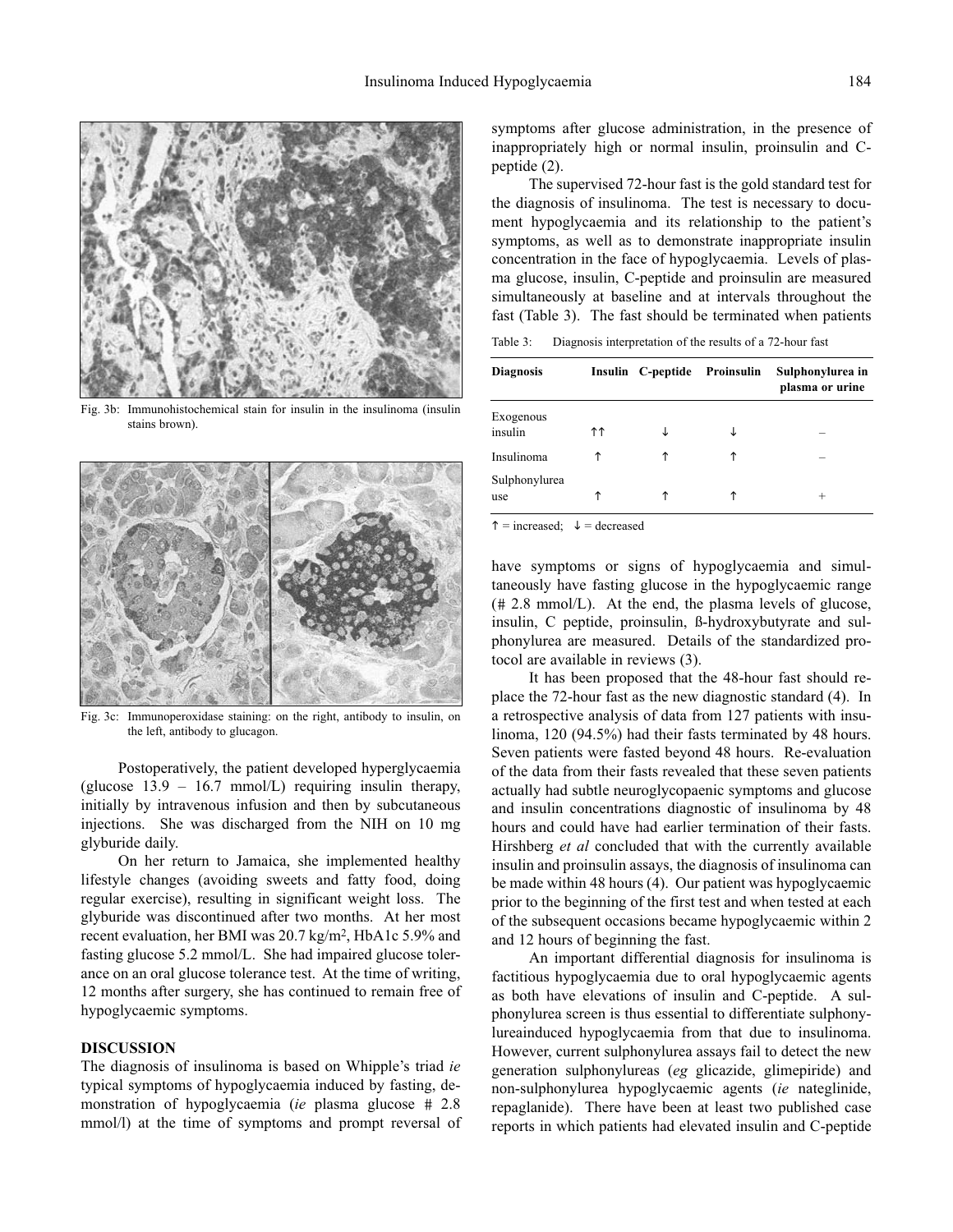

Fig. 3b: Immunohistochemical stain for insulin in the insulinoma (insulin stains brown).



Fig. 3c: Immunoperoxidase staining: on the right, antibody to insulin, on the left, antibody to glucagon.

Postoperatively, the patient developed hyperglycaemia (glucose 13.9 – 16.7 mmol/L) requiring insulin therapy, initially by intravenous infusion and then by subcutaneous injections. She was discharged from the NIH on 10 mg glyburide daily.

On her return to Jamaica, she implemented healthy lifestyle changes (avoiding sweets and fatty food, doing regular exercise), resulting in significant weight loss. The glyburide was discontinued after two months. At her most recent evaluation, her BMI was 20.7 kg/m2, HbA1c 5.9% and fasting glucose 5.2 mmol/L. She had impaired glucose tolerance on an oral glucose tolerance test. At the time of writing, 12 months after surgery, she has continued to remain free of hypoglycaemic symptoms.

### **DISCUSSION**

The diagnosis of insulinoma is based on Whipple's triad *ie* typical symptoms of hypoglycaemia induced by fasting, demonstration of hypoglycaemia (*ie* plasma glucose # 2.8 mmol/l) at the time of symptoms and prompt reversal of symptoms after glucose administration, in the presence of inappropriately high or normal insulin, proinsulin and Cpeptide (2).

The supervised 72-hour fast is the gold standard test for the diagnosis of insulinoma. The test is necessary to document hypoglycaemia and its relationship to the patient's symptoms, as well as to demonstrate inappropriate insulin concentration in the face of hypoglycaemia. Levels of plasma glucose, insulin, C-peptide and proinsulin are measured simultaneously at baseline and at intervals throughout the fast (Table 3). The fast should be terminated when patients

Table 3: Diagnosis interpretation of the results of a 72-hour fast

| <b>Diagnosis</b>     |     | Insulin C-peptide Proinsulin | Sulphonylurea in<br>plasma or urine |
|----------------------|-----|------------------------------|-------------------------------------|
| Exogenous<br>insulin | ተ ተ | ↓                            |                                     |
| Insulinoma           | ↑   | ↑                            | -                                   |
| Sulphonylurea<br>use | ↑   | ↑                            | $\pm$                               |

 $\uparrow$  = increased;  $\downarrow$  = decreased

have symptoms or signs of hypoglycaemia and simultaneously have fasting glucose in the hypoglycaemic range (# 2.8 mmol/L). At the end, the plasma levels of glucose, insulin, C peptide, proinsulin, ß-hydroxybutyrate and sulphonylurea are measured. Details of the standardized protocol are available in reviews (3).

It has been proposed that the 48-hour fast should replace the 72-hour fast as the new diagnostic standard (4). In a retrospective analysis of data from 127 patients with insulinoma, 120 (94.5%) had their fasts terminated by 48 hours. Seven patients were fasted beyond 48 hours. Re-evaluation of the data from their fasts revealed that these seven patients actually had subtle neuroglycopaenic symptoms and glucose and insulin concentrations diagnostic of insulinoma by 48 hours and could have had earlier termination of their fasts. Hirshberg *et al* concluded that with the currently available insulin and proinsulin assays, the diagnosis of insulinoma can be made within 48 hours (4). Our patient was hypoglycaemic prior to the beginning of the first test and when tested at each of the subsequent occasions became hypoglycaemic within 2 and 12 hours of beginning the fast.

An important differential diagnosis for insulinoma is factitious hypoglycaemia due to oral hypoglycaemic agents as both have elevations of insulin and C-peptide. A sulphonylurea screen is thus essential to differentiate sulphonylureainduced hypoglycaemia from that due to insulinoma. However, current sulphonylurea assays fail to detect the new generation sulphonylureas (*eg* glicazide, glimepiride) and non-sulphonylurea hypoglycaemic agents (*ie* nateglinide, repaglanide). There have been at least two published case reports in which patients had elevated insulin and C-peptide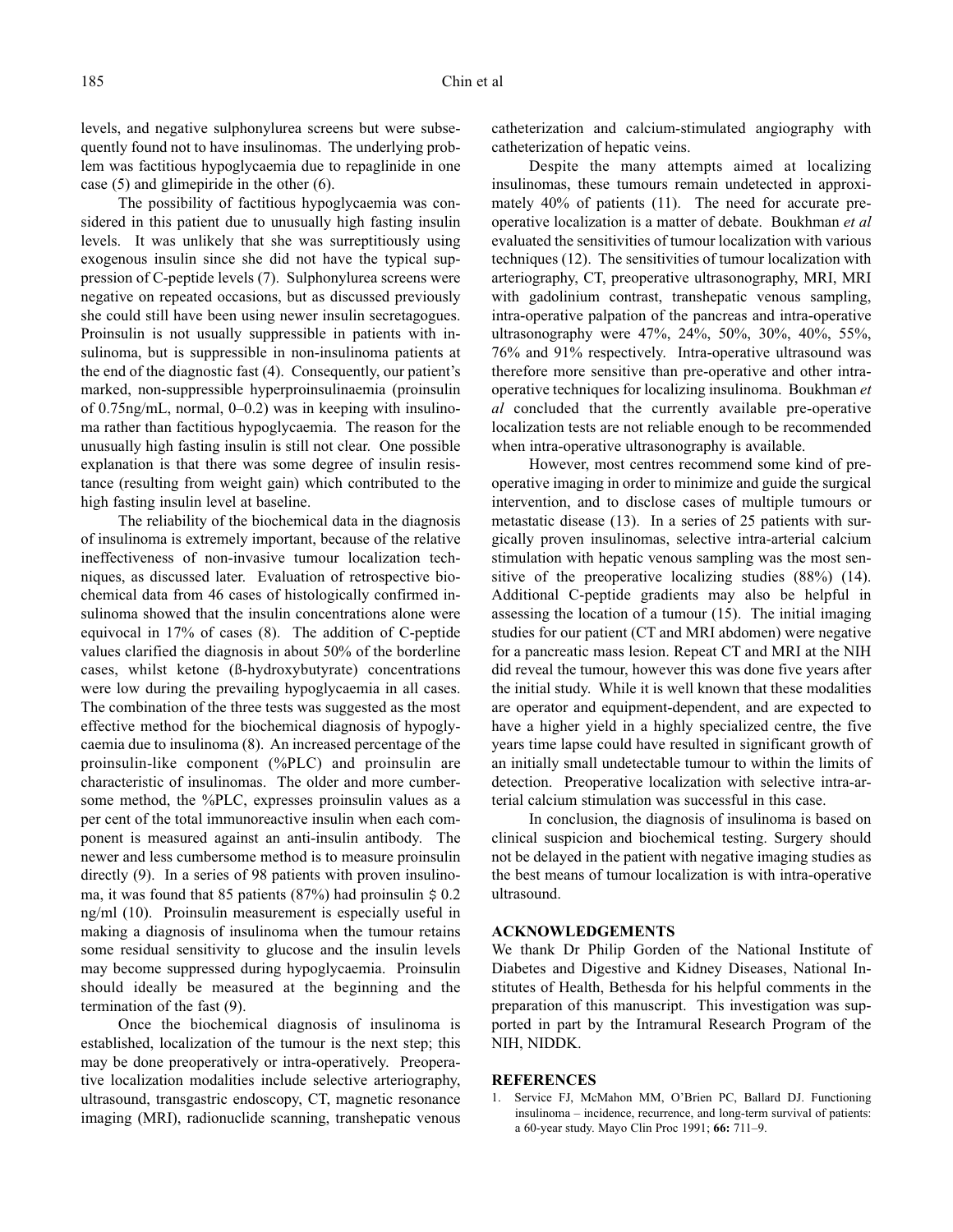levels, and negative sulphonylurea screens but were subsequently found not to have insulinomas. The underlying problem was factitious hypoglycaemia due to repaglinide in one case (5) and glimepiride in the other (6).

The possibility of factitious hypoglycaemia was considered in this patient due to unusually high fasting insulin levels. It was unlikely that she was surreptitiously using exogenous insulin since she did not have the typical suppression of C-peptide levels (7). Sulphonylurea screens were negative on repeated occasions, but as discussed previously she could still have been using newer insulin secretagogues. Proinsulin is not usually suppressible in patients with insulinoma, but is suppressible in non-insulinoma patients at the end of the diagnostic fast (4). Consequently, our patient's marked, non-suppressible hyperproinsulinaemia (proinsulin of 0.75ng/mL, normal, 0–0.2) was in keeping with insulinoma rather than factitious hypoglycaemia. The reason for the unusually high fasting insulin is still not clear. One possible explanation is that there was some degree of insulin resistance (resulting from weight gain) which contributed to the high fasting insulin level at baseline.

The reliability of the biochemical data in the diagnosis of insulinoma is extremely important, because of the relative ineffectiveness of non-invasive tumour localization techniques, as discussed later. Evaluation of retrospective biochemical data from 46 cases of histologically confirmed insulinoma showed that the insulin concentrations alone were equivocal in 17% of cases (8). The addition of C-peptide values clarified the diagnosis in about 50% of the borderline cases, whilst ketone (ß-hydroxybutyrate) concentrations were low during the prevailing hypoglycaemia in all cases. The combination of the three tests was suggested as the most effective method for the biochemical diagnosis of hypoglycaemia due to insulinoma (8). An increased percentage of the proinsulin-like component (%PLC) and proinsulin are characteristic of insulinomas. The older and more cumbersome method, the %PLC, expresses proinsulin values as a per cent of the total immunoreactive insulin when each component is measured against an anti-insulin antibody. The newer and less cumbersome method is to measure proinsulin directly (9). In a series of 98 patients with proven insulinoma, it was found that 85 patients (87%) had proinsulin  $\frac{1}{2}$  0.2 ng/ml (10). Proinsulin measurement is especially useful in making a diagnosis of insulinoma when the tumour retains some residual sensitivity to glucose and the insulin levels may become suppressed during hypoglycaemia. Proinsulin should ideally be measured at the beginning and the termination of the fast (9).

Once the biochemical diagnosis of insulinoma is established, localization of the tumour is the next step; this may be done preoperatively or intra-operatively. Preoperative localization modalities include selective arteriography, ultrasound, transgastric endoscopy, CT, magnetic resonance imaging (MRI), radionuclide scanning, transhepatic venous catheterization and calcium-stimulated angiography with catheterization of hepatic veins.

Despite the many attempts aimed at localizing insulinomas, these tumours remain undetected in approximately 40% of patients (11). The need for accurate preoperative localization is a matter of debate. Boukhman *et al* evaluated the sensitivities of tumour localization with various techniques (12). The sensitivities of tumour localization with arteriography, CT, preoperative ultrasonography, MRI, MRI with gadolinium contrast, transhepatic venous sampling, intra-operative palpation of the pancreas and intra-operative ultrasonography were 47%, 24%, 50%, 30%, 40%, 55%, 76% and 91% respectively. Intra-operative ultrasound was therefore more sensitive than pre-operative and other intraoperative techniques for localizing insulinoma. Boukhman *et al* concluded that the currently available pre-operative localization tests are not reliable enough to be recommended when intra-operative ultrasonography is available.

However, most centres recommend some kind of preoperative imaging in order to minimize and guide the surgical intervention, and to disclose cases of multiple tumours or metastatic disease (13). In a series of 25 patients with surgically proven insulinomas, selective intra-arterial calcium stimulation with hepatic venous sampling was the most sensitive of the preoperative localizing studies (88%) (14). Additional C-peptide gradients may also be helpful in assessing the location of a tumour (15). The initial imaging studies for our patient (CT and MRI abdomen) were negative for a pancreatic mass lesion. Repeat CT and MRI at the NIH did reveal the tumour, however this was done five years after the initial study. While it is well known that these modalities are operator and equipment-dependent, and are expected to have a higher yield in a highly specialized centre, the five years time lapse could have resulted in significant growth of an initially small undetectable tumour to within the limits of detection. Preoperative localization with selective intra-arterial calcium stimulation was successful in this case.

In conclusion, the diagnosis of insulinoma is based on clinical suspicion and biochemical testing. Surgery should not be delayed in the patient with negative imaging studies as the best means of tumour localization is with intra-operative ultrasound.

### **ACKNOWLEDGEMENTS**

We thank Dr Philip Gorden of the National Institute of Diabetes and Digestive and Kidney Diseases, National Institutes of Health, Bethesda for his helpful comments in the preparation of this manuscript. This investigation was supported in part by the Intramural Research Program of the NIH, NIDDK.

### **REFERENCES**

1. Service FJ, McMahon MM, O'Brien PC, Ballard DJ. Functioning insulinoma – incidence, recurrence, and long-term survival of patients: a 60-year study. Mayo Clin Proc 1991; **66:** 711–9.